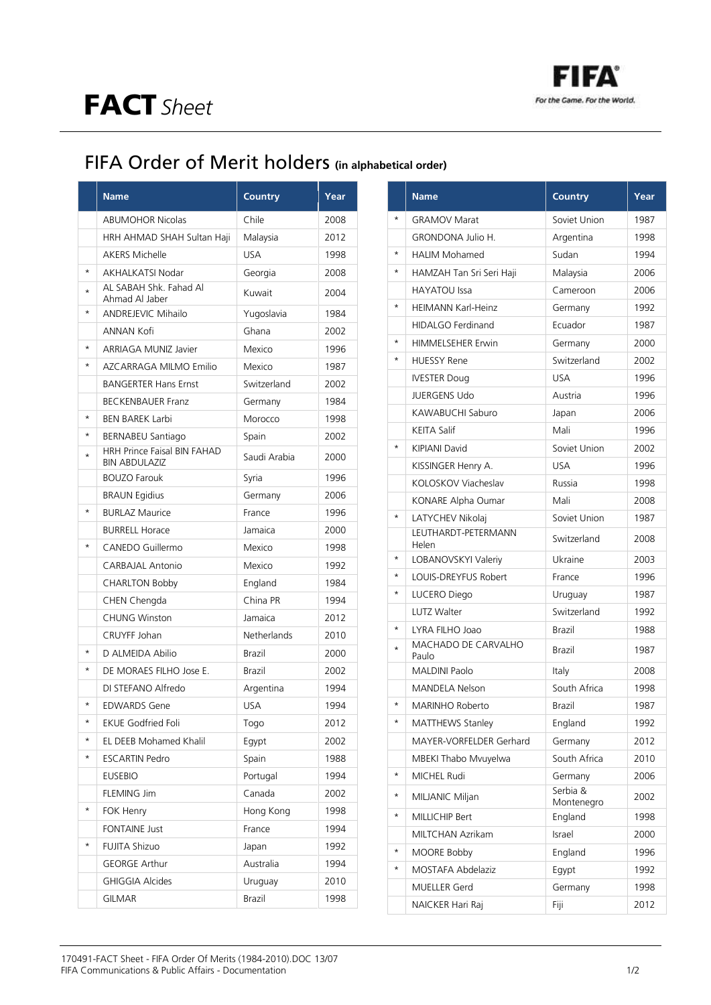

## FIFA Order of Merit holders **(in alphabetical order)**

|          | <b>Name</b>                                                | <b>Country</b> | Year |
|----------|------------------------------------------------------------|----------------|------|
|          | <b>ABUMOHOR Nicolas</b>                                    | Chile          | 2008 |
|          | HRH AHMAD SHAH Sultan Haji                                 | Malaysia       | 2012 |
|          | <b>AKERS Michelle</b>                                      | <b>USA</b>     | 1998 |
| $\star$  | <b>AKHALKATSI Nodar</b>                                    | Georgia        | 2008 |
| ÷        | AL SABAH Shk. Fahad Al<br>Ahmad Al Jaber                   | Kuwait         | 2004 |
| $\star$  | <b>ANDREJEVIC Mihailo</b>                                  | Yugoslavia     | 1984 |
|          | ANNAN Kofi                                                 | Ghana          | 2002 |
| $\star$  | ARRIAGA MUNIZ Javier                                       | Mexico         | 1996 |
| $\star$  | AZCARRAGA MILMO Emilio                                     | Mexico         | 1987 |
|          | <b>BANGERTER Hans Ernst</b>                                | Switzerland    | 2002 |
|          | <b>BECKENBAUER Franz</b>                                   | Germany        | 1984 |
| $\star$  | <b>BEN BAREK Larbi</b>                                     | Morocco        | 1998 |
| $^\star$ | <b>BERNABEU Santiago</b>                                   | Spain          | 2002 |
| $\star$  | <b>HRH Prince Faisal BIN FAHAD</b><br><b>BIN ABDULAZIZ</b> | Saudi Arabia   | 2000 |
|          | <b>BOUZO Farouk</b>                                        | Syria          | 1996 |
|          | <b>BRAUN Egidius</b>                                       | Germany        | 2006 |
| $\star$  | <b>BURLAZ Maurice</b>                                      | France         | 1996 |
|          | <b>BURRELL Horace</b>                                      | Jamaica        | 2000 |
| $\star$  | CANEDO Guillermo                                           | Mexico         | 1998 |
|          | <b>CARBAJAL Antonio</b>                                    | Mexico         | 1992 |
|          | <b>CHARLTON Bobby</b>                                      | England        | 1984 |
|          | CHEN Chengda                                               | China PR       | 1994 |
|          | <b>CHUNG Winston</b>                                       | Jamaica        | 2012 |
|          | <b>CRUYFF Johan</b>                                        | Netherlands    | 2010 |
|          | D ALMEIDA Abilio                                           | <b>Brazil</b>  | 2000 |
| $^\star$ | DE MORAES FILHO Jose E.                                    | Brazil         | 2002 |
|          | DI STEFANO Alfredo                                         | Argentina      | 1994 |
| $\star$  | <b>EDWARDS Gene</b>                                        | <b>USA</b>     | 1994 |
| $^\star$ | <b>EKUE Godfried Foli</b>                                  | Togo           | 2012 |
| $^\star$ | EL DEEB Mohamed Khalil                                     | Egypt          | 2002 |
| *        | <b>ESCARTIN Pedro</b>                                      | Spain          | 1988 |
|          | <b>EUSEBIO</b>                                             | Portugal       | 1994 |
|          | FLEMING Jim                                                | Canada         | 2002 |
| $^\star$ | FOK Henry                                                  | Hong Kong      | 1998 |
|          | <b>FONTAINE Just</b>                                       | France         | 1994 |
| $^\star$ | <b>FUJITA Shizuo</b>                                       | Japan          | 1992 |
|          | <b>GEORGE Arthur</b>                                       | Australia      | 1994 |
|          | <b>GHIGGIA Alcides</b>                                     | Uruguay        | 2010 |
|          | <b>GILMAR</b>                                              | Brazil         | 1998 |

|            | <b>Name</b>                  | <b>Country</b>         | Year |
|------------|------------------------------|------------------------|------|
|            | <b>GRAMOV Marat</b>          | Soviet Union           | 1987 |
|            | <b>GRONDONA Julio H.</b>     | Argentina              | 1998 |
| $^\star$   | <b>HALIM Mohamed</b>         | Sudan                  | 1994 |
| $^\star$   | HAMZAH Tan Sri Seri Haji     | Malaysia               | 2006 |
|            | <b>HAYATOU Issa</b>          | Cameroon               | 2006 |
| $^\star$   | <b>HEIMANN Karl-Heinz</b>    | Germany                | 1992 |
|            | <b>HIDALGO Ferdinand</b>     | Ecuador                | 1987 |
| $^\star$   | <b>HIMMELSEHER Erwin</b>     | Germany                | 2000 |
| $\star$    | <b>HUESSY Rene</b>           | Switzerland            | 2002 |
|            | <b>IVESTER Doug</b>          | <b>USA</b>             | 1996 |
|            | <b>JUERGENS Udo</b>          | Austria                | 1996 |
|            | KAWABUCHI Saburo             | Japan                  | 2006 |
|            | <b>KEITA Salif</b>           | Mali                   | 1996 |
| $^\star$   | <b>KIPIANI David</b>         | Soviet Union           | 2002 |
|            | KISSINGER Henry A.           | USA                    | 1996 |
|            | KOLOSKOV Viacheslav          | Russia                 | 1998 |
|            | KONARE Alpha Oumar           | Mali                   | 2008 |
| $\star$    | LATYCHEV Nikolaj             | Soviet Union           | 1987 |
|            | LEUTHARDT-PETERMANN<br>Helen | Switzerland            | 2008 |
| $^\star$   | LOBANOVSKYI Valeriy          | Ukraine                | 2003 |
| $\star$    | LOUIS-DREYFUS Robert         | France                 | 1996 |
| $\star$    | LUCERO Diego                 | Uruguay                | 1987 |
|            | LUTZ Walter                  | Switzerland            | 1992 |
| $\star$    | LYRA FILHO Joao              | <b>Brazil</b>          | 1988 |
| $\star$    | MACHADO DE CARVALHO<br>Paulo | Brazil                 | 1987 |
|            | <b>MALDINI Paolo</b>         | Italy                  | 2008 |
|            | <b>MANDELA Nelson</b>        | South Africa           | 1998 |
| $^{\star}$ | <b>MARINHO Roberto</b>       | Brazil                 | 1987 |
| $^\star$   | MATTHEWS Stanley             | England                | 1992 |
|            | MAYER-VORFELDER Gerhard      | Germany                | 2012 |
|            | MBEKI Thabo Mvuyelwa         | South Africa           | 2010 |
| $\star$    | MICHEL Rudi                  | Germany                | 2006 |
| $\star$    | MILJANIC Miljan              | Serbia &<br>Montenegro | 2002 |
| $^\star$   | MILLICHIP Bert               | England                | 1998 |
|            | MILTCHAN Azrikam             | Israel                 | 2000 |
| $^\star$   | MOORE Bobby                  | England                | 1996 |
| $^\star$   | MOSTAFA Abdelaziz            | Egypt                  | 1992 |
|            | MUELLER Gerd                 | Germany                | 1998 |
|            | NAICKER Hari Raj             | Fiji                   | 2012 |